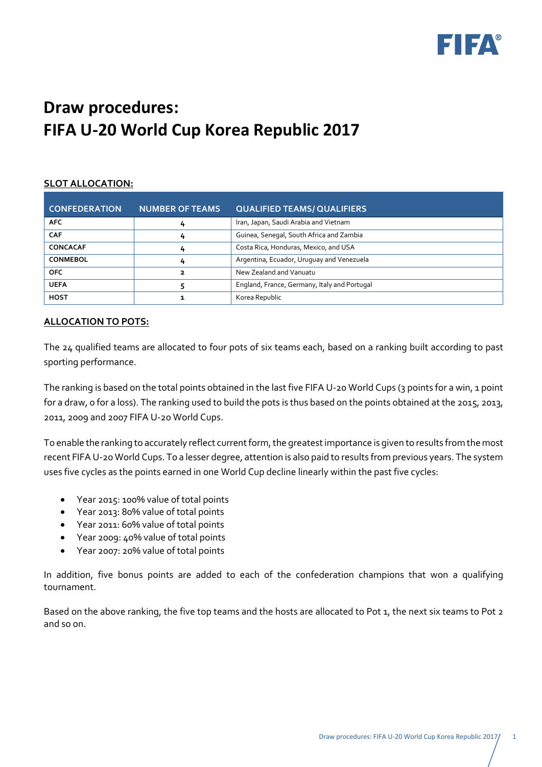

# **Draw procedures: FIFA U-20 World Cup Korea Republic 2017**

# **SLOT ALLOCATION:**

| <b>CONFEDERATION</b> | <b>NUMBER OF TEAMS</b> | <b>QUALIFIED TEAMS/ QUALIFIERS</b>           |  |
|----------------------|------------------------|----------------------------------------------|--|
| <b>AFC</b>           | 4                      | Iran, Japan, Saudi Arabia and Vietnam        |  |
| <b>CAF</b>           | 4                      | Guinea, Senegal, South Africa and Zambia     |  |
| <b>CONCACAF</b>      | 4                      | Costa Rica, Honduras, Mexico, and USA        |  |
| <b>CONMEBOL</b>      | 4                      | Argentina, Ecuador, Uruguay and Venezuela    |  |
| <b>OFC</b>           | 2                      | New Zealand and Vanuatu                      |  |
| <b>UEFA</b>          |                        | England, France, Germany, Italy and Portugal |  |
| <b>HOST</b>          |                        | Korea Republic                               |  |

## **ALLOCATION TO POTS:**

The 24 qualified teams are allocated to four pots of six teams each, based on a ranking built according to past sporting performance.

The ranking is based on the total points obtained in the last five FIFA U-20 World Cups (3 points for a win, 1 point for a draw, 0 for a loss). The ranking used to build the pots is thus based on the points obtained at the 2015, 2013, 2011, 2009 and 2007 FIFA U-20 World Cups.

To enable the ranking to accurately reflect current form, the greatest importance is given to results from the most recent FIFA U-20 World Cups. To a lesser degree, attention is also paid to results from previous years. The system uses five cycles as the points earned in one World Cup decline linearly within the past five cycles:

- Year 2015: 100% value of total points
- Year 2013: 80% value of total points
- Year 2011: 60% value of total points
- Year 2009: 40% value of total points
- Year 2007: 20% value of total points

In addition, five bonus points are added to each of the confederation champions that won a qualifying tournament.

Based on the above ranking, the five top teams and the hosts are allocated to Pot 1, the next six teams to Pot 2 and so on.